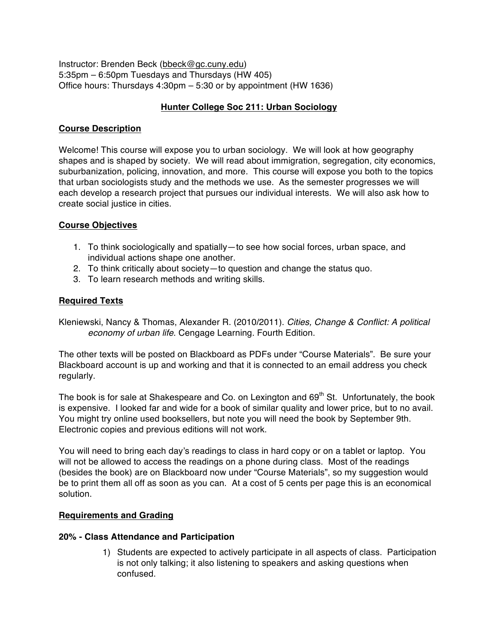Instructor: Brenden Beck (bbeck@gc.cuny.edu) 5:35pm – 6:50pm Tuesdays and Thursdays (HW 405) Office hours: Thursdays 4:30pm – 5:30 or by appointment (HW 1636)

### **Hunter College Soc 211: Urban Sociology**

### **Course Description**

Welcome! This course will expose you to urban sociology. We will look at how geography shapes and is shaped by society. We will read about immigration, segregation, city economics, suburbanization, policing, innovation, and more. This course will expose you both to the topics that urban sociologists study and the methods we use. As the semester progresses we will each develop a research project that pursues our individual interests. We will also ask how to create social justice in cities.

### **Course Objectives**

- 1. To think sociologically and spatially—to see how social forces, urban space, and individual actions shape one another.
- 2. To think critically about society—to question and change the status quo.
- 3. To learn research methods and writing skills.

### **Required Texts**

Kleniewski, Nancy & Thomas, Alexander R. (2010/2011). *Cities, Change & Conflict: A political economy of urban life*. Cengage Learning. Fourth Edition.

The other texts will be posted on Blackboard as PDFs under "Course Materials". Be sure your Blackboard account is up and working and that it is connected to an email address you check regularly.

The book is for sale at Shakespeare and Co. on Lexington and  $69<sup>th</sup>$  St. Unfortunately, the book is expensive. I looked far and wide for a book of similar quality and lower price, but to no avail. You might try online used booksellers, but note you will need the book by September 9th. Electronic copies and previous editions will not work.

You will need to bring each day's readings to class in hard copy or on a tablet or laptop. You will not be allowed to access the readings on a phone during class. Most of the readings (besides the book) are on Blackboard now under "Course Materials", so my suggestion would be to print them all off as soon as you can. At a cost of 5 cents per page this is an economical solution.

### **Requirements and Grading**

### **20% - Class Attendance and Participation**

1) Students are expected to actively participate in all aspects of class. Participation is not only talking; it also listening to speakers and asking questions when confused.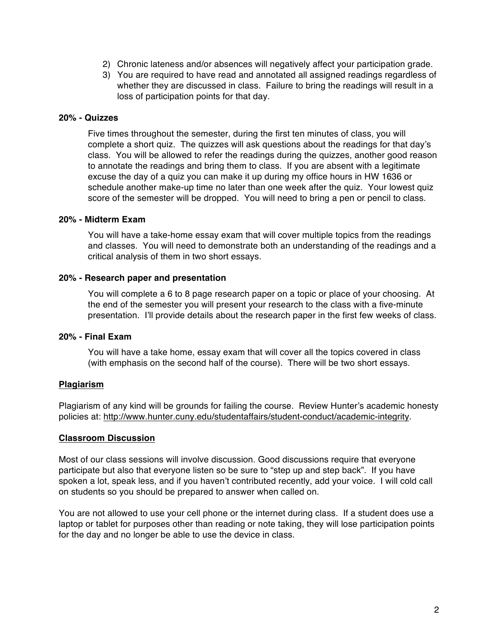- 2) Chronic lateness and/or absences will negatively affect your participation grade.
- 3) You are required to have read and annotated all assigned readings regardless of whether they are discussed in class. Failure to bring the readings will result in a loss of participation points for that day.

#### **20% - Quizzes**

Five times throughout the semester, during the first ten minutes of class, you will complete a short quiz. The quizzes will ask questions about the readings for that day's class. You will be allowed to refer the readings during the quizzes, another good reason to annotate the readings and bring them to class. If you are absent with a legitimate excuse the day of a quiz you can make it up during my office hours in HW 1636 or schedule another make-up time no later than one week after the quiz. Your lowest quiz score of the semester will be dropped. You will need to bring a pen or pencil to class.

#### **20% - Midterm Exam**

You will have a take-home essay exam that will cover multiple topics from the readings and classes. You will need to demonstrate both an understanding of the readings and a critical analysis of them in two short essays.

#### **20% - Research paper and presentation**

You will complete a 6 to 8 page research paper on a topic or place of your choosing. At the end of the semester you will present your research to the class with a five-minute presentation. I'll provide details about the research paper in the first few weeks of class.

#### **20% - Final Exam**

You will have a take home, essay exam that will cover all the topics covered in class (with emphasis on the second half of the course). There will be two short essays.

#### **Plagiarism**

Plagiarism of any kind will be grounds for failing the course. Review Hunter's academic honesty policies at: http://www.hunter.cuny.edu/studentaffairs/student-conduct/academic-integrity.

#### **Classroom Discussion**

Most of our class sessions will involve discussion. Good discussions require that everyone participate but also that everyone listen so be sure to "step up and step back". If you have spoken a lot, speak less, and if you haven't contributed recently, add your voice. I will cold call on students so you should be prepared to answer when called on.

You are not allowed to use your cell phone or the internet during class. If a student does use a laptop or tablet for purposes other than reading or note taking, they will lose participation points for the day and no longer be able to use the device in class.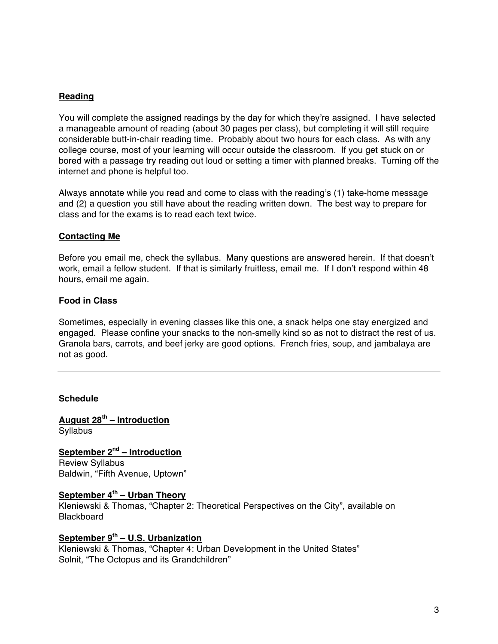### **Reading**

You will complete the assigned readings by the day for which they're assigned. I have selected a manageable amount of reading (about 30 pages per class), but completing it will still require considerable butt-in-chair reading time. Probably about two hours for each class. As with any college course, most of your learning will occur outside the classroom. If you get stuck on or bored with a passage try reading out loud or setting a timer with planned breaks. Turning off the internet and phone is helpful too.

Always annotate while you read and come to class with the reading's (1) take-home message and (2) a question you still have about the reading written down. The best way to prepare for class and for the exams is to read each text twice.

### **Contacting Me**

Before you email me, check the syllabus. Many questions are answered herein. If that doesn't work, email a fellow student. If that is similarly fruitless, email me. If I don't respond within 48 hours, email me again.

#### **Food in Class**

Sometimes, especially in evening classes like this one, a snack helps one stay energized and engaged. Please confine your snacks to the non-smelly kind so as not to distract the rest of us. Granola bars, carrots, and beef jerky are good options. French fries, soup, and jambalaya are not as good.

#### **Schedule**

**August 28th – Introduction Syllabus** 

**September 2nd – Introduction** Review Syllabus Baldwin, "Fifth Avenue, Uptown"

#### **September 4th – Urban Theory**

Kleniewski & Thomas, "Chapter 2: Theoretical Perspectives on the City", available on **Blackboard** 

### **September 9th – U.S. Urbanization**

Kleniewski & Thomas, "Chapter 4: Urban Development in the United States" Solnit, "The Octopus and its Grandchildren"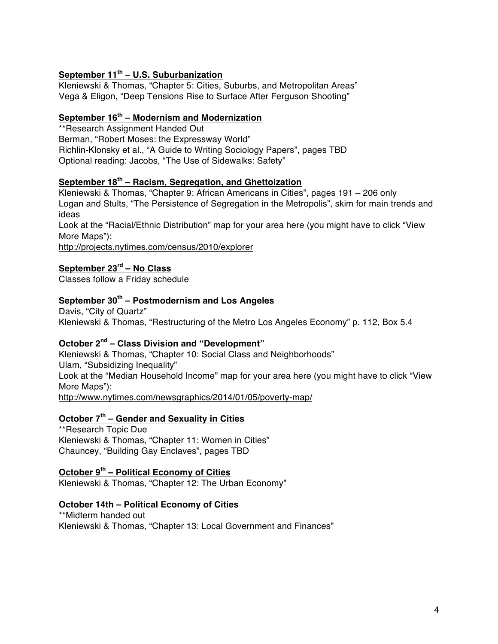### **September 11th – U.S. Suburbanization**

Kleniewski & Thomas, "Chapter 5: Cities, Suburbs, and Metropolitan Areas" Vega & Eligon, "Deep Tensions Rise to Surface After Ferguson Shooting"

### **September 16th – Modernism and Modernization**

\*\*Research Assignment Handed Out Berman, "Robert Moses: the Expressway World" Richlin-Klonsky et al., "A Guide to Writing Sociology Papers", pages TBD Optional reading: Jacobs, "The Use of Sidewalks: Safety"

# **September 18th – Racism, Segregation, and Ghettoization**

Kleniewski & Thomas, "Chapter 9: African Americans in Cities", pages 191 – 206 only Logan and Stults, "The Persistence of Segregation in the Metropolis", skim for main trends and ideas

Look at the "Racial/Ethnic Distribution" map for your area here (you might have to click "View More Maps"):

http://projects.nytimes.com/census/2010/explorer

#### **September 23rd – No Class**

Classes follow a Friday schedule

### **September 30th – Postmodernism and Los Angeles**

Davis, "City of Quartz" Kleniewski & Thomas, "Restructuring of the Metro Los Angeles Economy" p. 112, Box 5.4

#### **October 2nd – Class Division and "Development"**

Kleniewski & Thomas, "Chapter 10: Social Class and Neighborhoods" Ulam, "Subsidizing Inequality" Look at the "Median Household Income" map for your area here (you might have to click "View More Maps"):

http://www.nytimes.com/newsgraphics/2014/01/05/poverty-map/

### **October 7th – Gender and Sexuality in Cities**

\*\*Research Topic Due Kleniewski & Thomas, "Chapter 11: Women in Cities" Chauncey, "Building Gay Enclaves", pages TBD

## **October 9th – Political Economy of Cities**

Kleniewski & Thomas, "Chapter 12: The Urban Economy"

#### **October 14th – Political Economy of Cities**

\*\*Midterm handed out Kleniewski & Thomas, "Chapter 13: Local Government and Finances"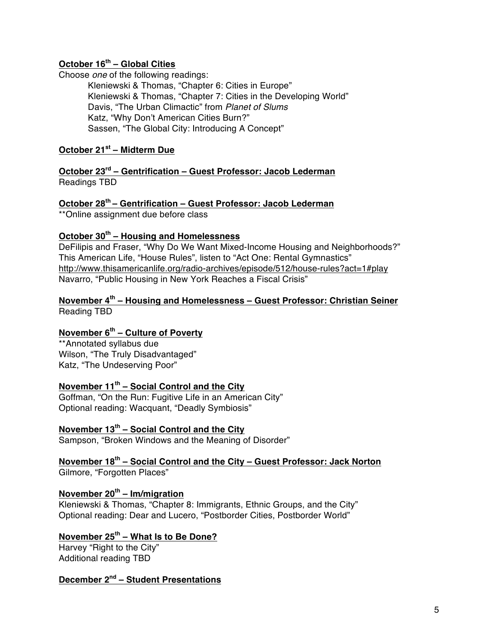## **October 16th – Global Cities**

Choose *one* of the following readings:

Kleniewski & Thomas, "Chapter 6: Cities in Europe" Kleniewski & Thomas, "Chapter 7: Cities in the Developing World" Davis, "The Urban Climactic" from *Planet of Slums* Katz, "Why Don't American Cities Burn?" Sassen, "The Global City: Introducing A Concept"

# **October 21st – Midterm Due**

**October 23rd – Gentrification – Guest Professor: Jacob Lederman** Readings TBD

### **October 28th – Gentrification – Guest Professor: Jacob Lederman**

\*\*Online assignment due before class

### **October 30th – Housing and Homelessness**

DeFilipis and Fraser, "Why Do We Want Mixed-Income Housing and Neighborhoods?" This American Life, "House Rules", listen to "Act One: Rental Gymnastics" http://www.thisamericanlife.org/radio-archives/episode/512/house-rules?act=1#play Navarro, "Public Housing in New York Reaches a Fiscal Crisis"

### **November 4th – Housing and Homelessness – Guest Professor: Christian Seiner** Reading TBD

# **November 6th – Culture of Poverty**

\*\*Annotated syllabus due Wilson, "The Truly Disadvantaged" Katz, "The Undeserving Poor"

# **November 11th – Social Control and the City**

Goffman, "On the Run: Fugitive Life in an American City" Optional reading: Wacquant, "Deadly Symbiosis"

### **November 13th – Social Control and the City**

Sampson, "Broken Windows and the Meaning of Disorder"

**November 18th – Social Control and the City – Guest Professor: Jack Norton** Gilmore, "Forgotten Places"

### **November 20th – Im/migration**

Kleniewski & Thomas, "Chapter 8: Immigrants, Ethnic Groups, and the City" Optional reading: Dear and Lucero, "Postborder Cities, Postborder World"

# **November 25th – What Is to Be Done?**

Harvey "Right to the City" Additional reading TBD

### **December 2nd – Student Presentations**